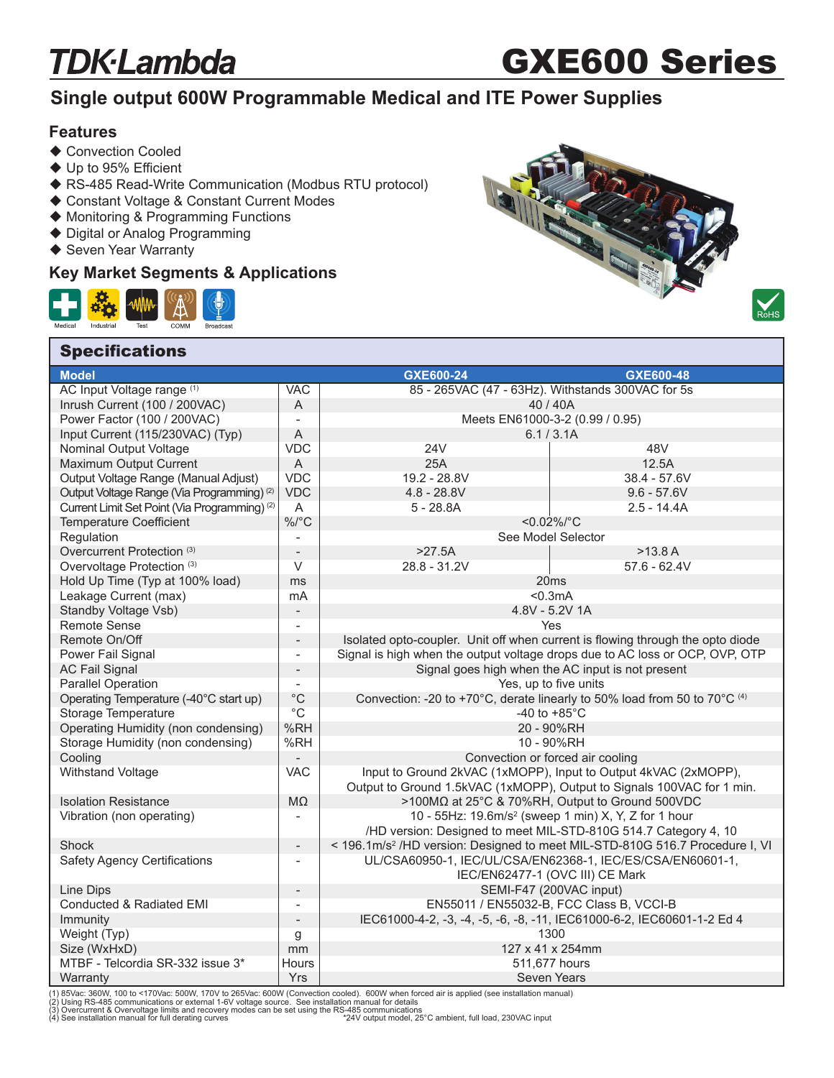### **TDK**·Lambda

# GXE600 Series

### **Single output 600W Programmable Medical and ITE Power Supplies**

### **Features**

- ◆ Convection Cooled
- $\blacklozenge$  Up to 95% Efficient
- ◆ RS-485 Read-Write Communication (Modbus RTU protocol)
- ◆ Constant Voltage & Constant Current Modes
- Monitoring & Programming Functions
- ◆ Digital or Analog Programming
- ◆ Seven Year Warranty

**Specifications** 

#### **Key Market Segments & Applications**







| <b>Model</b>                                             |                          | GXE600-24                                                                                | GXE600-48                                                                    |  |
|----------------------------------------------------------|--------------------------|------------------------------------------------------------------------------------------|------------------------------------------------------------------------------|--|
| AC Input Voltage range (1)                               | <b>VAC</b>               | 85 - 265VAC (47 - 63Hz). Withstands 300VAC for 5s                                        |                                                                              |  |
| Inrush Current (100 / 200VAC)                            | A                        | 40/40A                                                                                   |                                                                              |  |
| Power Factor (100 / 200VAC)                              | $\overline{\phantom{a}}$ | Meets EN61000-3-2 (0.99 / 0.95)                                                          |                                                                              |  |
| Input Current (115/230VAC) (Typ)                         | $\mathsf A$              |                                                                                          | 6.1 / 3.1A                                                                   |  |
| Nominal Output Voltage                                   | <b>VDC</b>               | <b>24V</b>                                                                               | 48V                                                                          |  |
| Maximum Output Current                                   | $\mathsf A$              | 25A                                                                                      | 12.5A                                                                        |  |
| Output Voltage Range (Manual Adjust)                     | <b>VDC</b>               | 19.2 - 28.8V                                                                             | $38.4 - 57.6V$                                                               |  |
| Output Voltage Range (Via Programming) <sup>(2)</sup>    | <b>VDC</b>               | $4.8 - 28.8V$                                                                            | $9.6 - 57.6V$                                                                |  |
| Current Limit Set Point (Via Programming) <sup>(2)</sup> | A                        | $5 - 28.8A$                                                                              | $2.5 - 14.4A$                                                                |  |
| <b>Temperature Coefficient</b>                           | $\%$ /°C                 | $< 0.02\%$ /°C                                                                           |                                                                              |  |
| Regulation                                               |                          | See Model Selector                                                                       |                                                                              |  |
| Overcurrent Protection <sup>(3)</sup>                    | $\overline{\phantom{a}}$ | $>27.5A$                                                                                 | >13.8 A                                                                      |  |
| Overvoltage Protection (3)                               | V                        | 28.8 - 31.2V                                                                             | $57.6 - 62.4V$                                                               |  |
| Hold Up Time (Typ at 100% load)                          | ms                       |                                                                                          | 20ms                                                                         |  |
| Leakage Current (max)                                    | mA                       |                                                                                          | < 0.3mA                                                                      |  |
| Standby Voltage Vsb)                                     |                          |                                                                                          | 4.8V - 5.2V 1A                                                               |  |
| <b>Remote Sense</b>                                      | $\blacksquare$           |                                                                                          | Yes                                                                          |  |
| Remote On/Off                                            |                          | Isolated opto-coupler. Unit off when current is flowing through the opto diode           |                                                                              |  |
| Power Fail Signal                                        |                          |                                                                                          | Signal is high when the output voltage drops due to AC loss or OCP, OVP, OTP |  |
| <b>AC Fail Signal</b>                                    | $\overline{\phantom{a}}$ | Signal goes high when the AC input is not present                                        |                                                                              |  |
| <b>Parallel Operation</b>                                | $\overline{\phantom{a}}$ | Yes, up to five units                                                                    |                                                                              |  |
| Operating Temperature (-40°C start up)                   | $^{\circ}{\rm C}$        | Convection: -20 to +70°C, derate linearly to 50% load from 50 to 70°C (4)                |                                                                              |  |
| Storage Temperature                                      | $^{\circ}C$              | -40 to $+85^{\circ}$ C                                                                   |                                                                              |  |
| Operating Humidity (non condensing)                      | %RH                      | 20 - 90%RH                                                                               |                                                                              |  |
| Storage Humidity (non condensing)                        | %RH                      | 10 - 90%RH                                                                               |                                                                              |  |
| Cooling                                                  |                          | Convection or forced air cooling                                                         |                                                                              |  |
| Withstand Voltage                                        | <b>VAC</b>               | Input to Ground 2kVAC (1xMOPP), Input to Output 4kVAC (2xMOPP),                          |                                                                              |  |
|                                                          |                          |                                                                                          | Output to Ground 1.5kVAC (1xMOPP), Output to Signals 100VAC for 1 min.       |  |
| <b>Isolation Resistance</b>                              | $M\Omega$                | >100MΩ at 25°C & 70%RH, Output to Ground 500VDC                                          |                                                                              |  |
| Vibration (non operating)                                |                          |                                                                                          | 10 - 55Hz: 19.6m/s <sup>2</sup> (sweep 1 min) X, Y, Z for 1 hour             |  |
|                                                          |                          |                                                                                          | /HD version: Designed to meet MIL-STD-810G 514.7 Category 4, 10              |  |
| Shock                                                    | $\overline{\phantom{a}}$ | < 196.1m/s <sup>2</sup> /HD version: Designed to meet MIL-STD-810G 516.7 Procedure I, VI |                                                                              |  |
| <b>Safety Agency Certifications</b>                      | $\overline{\phantom{a}}$ |                                                                                          | UL/CSA60950-1, IEC/UL/CSA/EN62368-1, IEC/ES/CSA/EN60601-1,                   |  |
|                                                          |                          |                                                                                          | IEC/EN62477-1 (OVC III) CE Mark                                              |  |
| Line Dips                                                | $\blacksquare$           | SEMI-F47 (200VAC input)                                                                  |                                                                              |  |
| Conducted & Radiated EMI                                 |                          | EN55011 / EN55032-B, FCC Class B, VCCI-B                                                 |                                                                              |  |
| Immunity                                                 | $\overline{a}$           | IEC61000-4-2, -3, -4, -5, -6, -8, -11, IEC61000-6-2, IEC60601-1-2 Ed 4                   |                                                                              |  |
| Weight (Typ)                                             | g                        | 1300                                                                                     |                                                                              |  |
| Size (WxHxD)                                             | mm                       | 127 x 41 x 254mm                                                                         |                                                                              |  |
| MTBF - Telcordia SR-332 issue 3*                         | Hours                    | 511,677 hours                                                                            |                                                                              |  |
| Warranty                                                 | Yrs                      |                                                                                          | <b>Seven Years</b>                                                           |  |

(1) 85Vac: 360W, 100 to <170Vac: 500W, 170V to 265Vac: 600W (Convection cooled). 600W when forced air is applied (see installation manual)<br>(2) Using RS-485 communications or external 1-6V voltage source. See installation